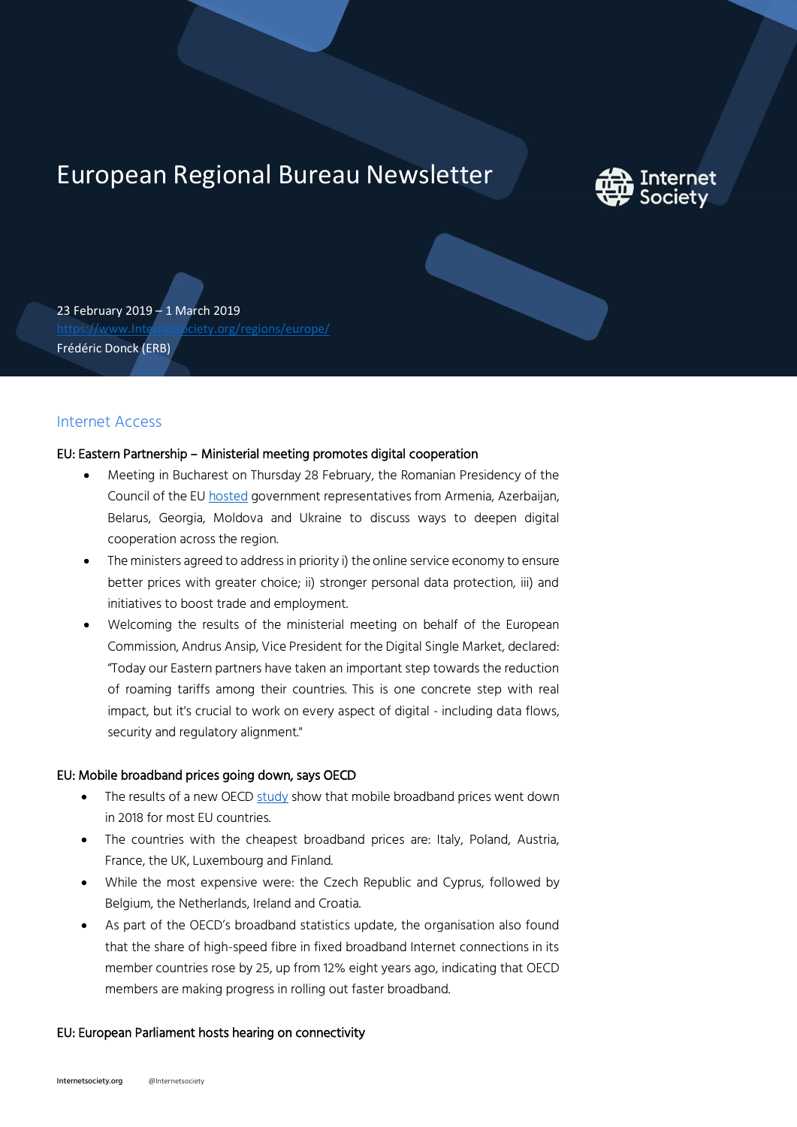# European Regional Bureau Newsletter



23 February 2019 – 1 March 2019 [https://www.Internetsociety.org/regions/europe/](https://www.internetsociety.org/regions/europe/) Frédéric Donck (ERB)

## Internet Access

## EU: Eastern Partnership – Ministerial meeting promotes digital cooperation

- Meeting in Bucharest on Thursday 28 February, the Romanian Presidency of the Council of the EU [hosted](https://ec.europa.eu/digital-single-market/en/news/eastern-partnership-promoting-stronger-digital-economies-eus-six-eastern-partners) government representatives from Armenia, Azerbaijan, Belarus, Georgia, Moldova and Ukraine to discuss ways to deepen digital cooperation across the region.
- The ministers agreed to address in priority i) the online service economy to ensure better prices with greater choice; ii) stronger personal data protection, iii) and initiatives to boost trade and employment.
- Welcoming the results of the ministerial meeting on behalf of the European Commission, Andrus Ansip, Vice President for the Digital Single Market, declared: "Today our Eastern partners have taken an important step towards the reduction of roaming tariffs among their countries. This is one concrete step with real impact, but it's crucial to work on every aspect of digital - including data flows, security and regulatory alignment."

#### EU: Mobile broadband prices going down, says OECD

- The results of a new OECD [study](http://www.oecd.org/internet/broadband/broadband-statistics-update.htm) show that mobile broadband prices went down in 2018 for most EU countries.
- The countries with the cheapest broadband prices are: Italy, Poland, Austria, France, the UK, Luxembourg and Finland.
- While the most expensive were: the Czech Republic and Cyprus, followed by Belgium, the Netherlands, Ireland and Croatia.
- As part of the OECD's broadband statistics update, the organisation also found that the share of high-speed fibre in fixed broadband Internet connections in its member countries rose by 25, up from 12% eight years ago, indicating that OECD members are making progress in rolling out faster broadband.

#### EU: European Parliament hosts hearing on connectivity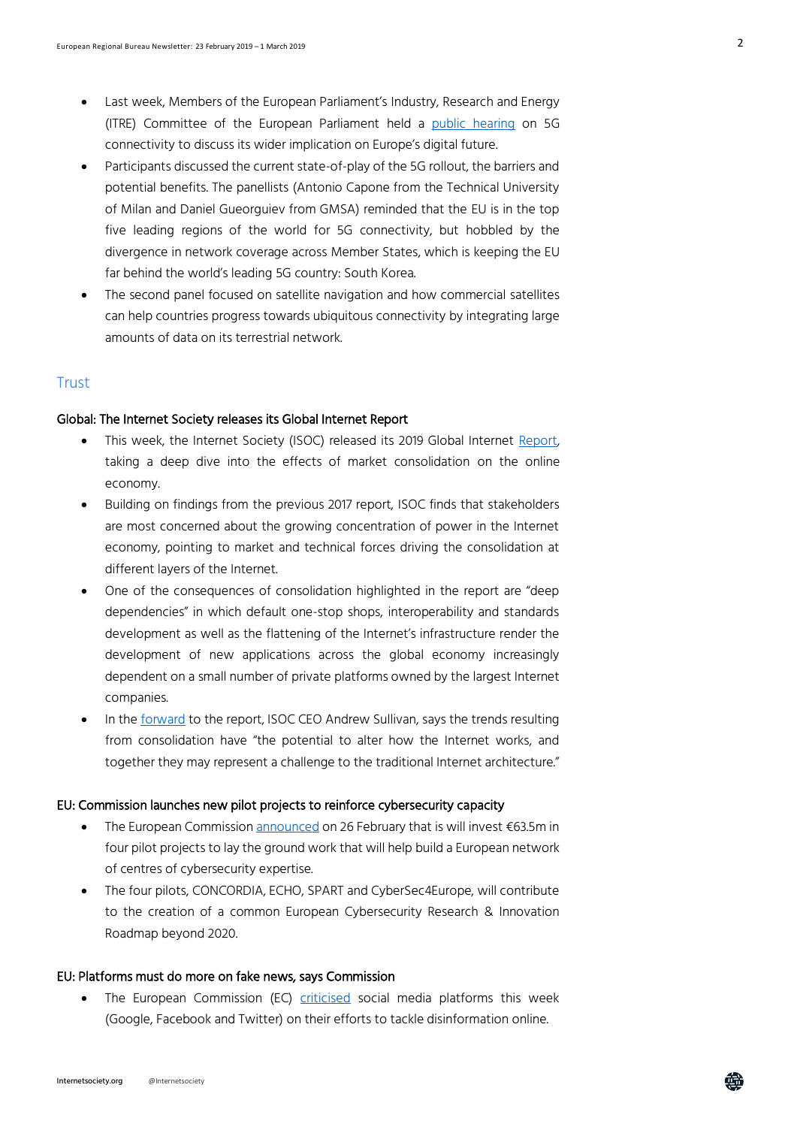- Last week, Members of the European Parliament's Industry, Research and Energy (ITRE) Committee of the European Parliament held a [public hearing](http://www.europarl.europa.eu/meetdocs/2014_2019/plmrep/COMMITTEES/ITRE/DV/2019/02-19/11-final-programme-hearing-connectivity-digital-future-EN.pdf) on 5G connectivity to discuss its wider implication on Europe's digital future.
- Participants discussed the current state-of-play of the 5G rollout, the barriers and potential benefits. The panellists (Antonio Capone from the Technical University of Milan and Daniel Gueorguiev from GMSA) reminded that the EU is in the top five leading regions of the world for 5G connectivity, but hobbled by the divergence in network coverage across Member States, which is keeping the EU far behind the world's leading 5G country: South Korea.
- The second panel focused on satellite navigation and how commercial satellites can help countries progress towards ubiquitous connectivity by integrating large amounts of data on its terrestrial network.

## **Trust**

#### Global: The Internet Society releases its Global Internet Report

- This week, the Internet Society (ISOC) released its 2019 Global Internet [Report,](https://future.internetsociety.org/2019/) taking a deep dive into the effects of market consolidation on the online economy.
- Building on findings from the previous 2017 report, ISOC finds that stakeholders are most concerned about the growing concentration of power in the Internet economy, pointing to market and technical forces driving the consolidation at different layers of the Internet.
- One of the consequences of consolidation highlighted in the report are "deep dependencies" in which default one-stop shops, interoperability and standards development as well as the flattening of the Internet's infrastructure render the development of new applications across the global economy increasingly dependent on a small number of private platforms owned by the largest Internet companies.
- In the [forward](https://future.internetsociety.org/2019/introduction/foreword/) to the report, ISOC CEO Andrew Sullivan, says the trends resulting from consolidation have "the potential to alter how the Internet works, and together they may represent a challenge to the traditional Internet architecture."

#### EU: Commission launches new pilot projects to reinforce cybersecurity capacity

- The European Commissio[n announced](https://ec.europa.eu/digital-single-market/en/news/four-eu-pilot-projects-launched-prepare-european-cybersecurity-competence-network) on 26 February that is will invest €63.5m in four pilot projects to lay the ground work that will help build a European network of centres of cybersecurity expertise.
- The four pilots, CONCORDIA, ECHO, SPART and CyberSec4Europe, will contribute to the creation of a common European Cybersecurity Research & Innovation Roadmap beyond 2020.

#### EU: Platforms must do more on fake news, says Commission

• The European Commission (EC) [criticised](http://europa.eu/rapid/press-release_STATEMENT-19-1379_en.htm) social media platforms this week (Google, Facebook and Twitter) on their efforts to tackle disinformation online.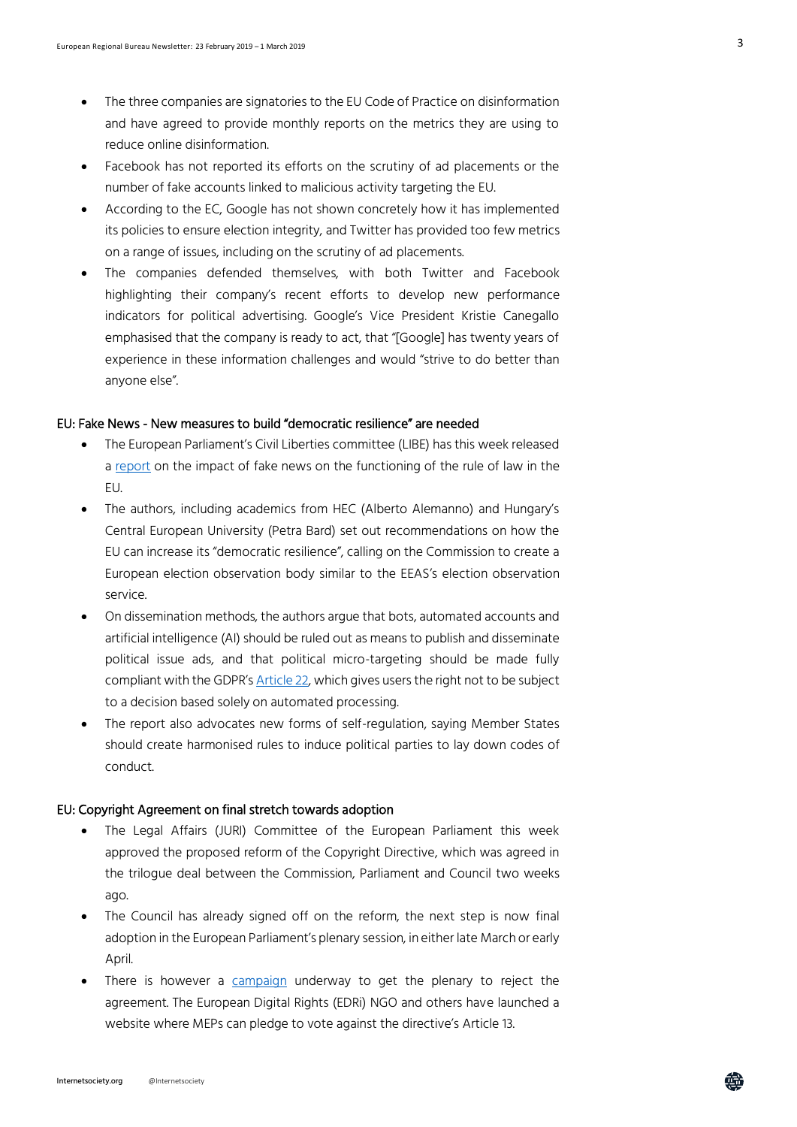- The three companies are signatories to the EU Code of Practice on disinformation and have agreed to provide monthly reports on the metrics they are using to reduce online disinformation.
- Facebook has not reported its efforts on the scrutiny of ad placements or the number of fake accounts linked to malicious activity targeting the EU.
- According to the EC, Google has not shown concretely how it has implemented its policies to ensure election integrity, and Twitter has provided too few metrics on a range of issues, including on the scrutiny of ad placements.
- The companies defended themselves, with both Twitter and Facebook highlighting their company's recent efforts to develop new performance indicators for political advertising. Google's Vice President Kristie Canegallo emphasised that the company is ready to act, that "[Google] has twenty years of experience in these information challenges and would "strive to do better than anyone else".

## EU: Fake News - New measures to build "democratic resilience" are needed

- The European Parliament's Civil Liberties committee (LIBE) has this week released a [report](http://www.europarl.europa.eu/RegData/etudes/STUD/2019/608864/IPOL_STU(2019)608864_EN.pdf) on the impact of fake news on the functioning of the rule of law in the EU.
- The authors, including academics from HEC (Alberto Alemanno) and Hungary's Central European University (Petra Bard) set out recommendations on how the EU can increase its "democratic resilience", calling on the Commission to create a European election observation body similar to the EEAS's election observation service.
- On dissemination methods, the authors argue that bots, automated accounts and artificial intelligence (AI) should be ruled out as means to publish and disseminate political issue ads, and that political micro-targeting should be made fully compliant with the GDPR's [Article 22,](http://www.privacy-regulation.eu/en/article-22-automated-individual-decision-making-including-profiling-GDPR.htm) which gives users the right not to be subject to a decision based solely on automated processing.
- The report also advocates new forms of self-regulation, saying Member States should create harmonised rules to induce political parties to lay down codes of conduct.

#### EU: Copyright Agreement on final stretch towards adoption

- The Legal Affairs (JURI) Committee of the European Parliament this week approved the proposed reform of the Copyright Directive, which was agreed in the trilogue deal between the Commission, Parliament and Council two weeks ago.
- The Council has already signed off on the reform, the next step is now final adoption in the European Parliament's plenary session, in either late March or early April.
- There is however a [campaign](https://pledge2019.eu/en) underway to get the plenary to reject the agreement. The European Digital Rights (EDRi) NGO and others have launched a website where MEPs can pledge to vote against the directive's Article 13.